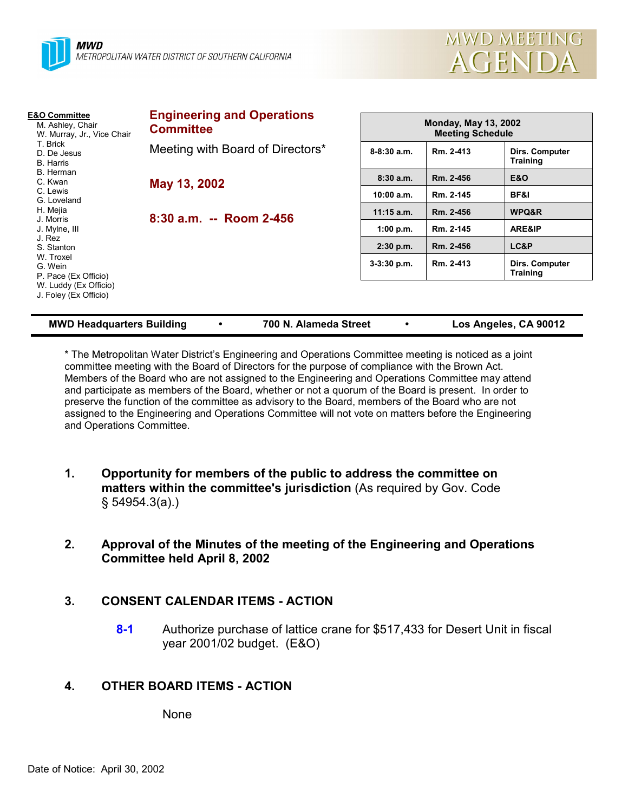

| <b>E&amp;O Committee</b><br>M. Ashley, Chair<br>W. Murray, Jr., Vice Chair<br>T. Brick<br>D. De Jesus<br>B. Harris<br>B. Herman<br>C. Kwan<br>C. Lewis<br>G. Loveland<br>H. Mejia<br>J. Morris<br>J. Mylne, III | <b>Engineering and Operations</b><br><b>Committee</b>                       | <b>Monday, May 13, 2002</b><br><b>Meeting Schedule</b> |           |                                   |  |
|-----------------------------------------------------------------------------------------------------------------------------------------------------------------------------------------------------------------|-----------------------------------------------------------------------------|--------------------------------------------------------|-----------|-----------------------------------|--|
|                                                                                                                                                                                                                 | Meeting with Board of Directors*<br>May 13, 2002<br>8:30 a.m. -- Room 2-456 | $8-8:30$ a.m.                                          | Rm. 2-413 | Dirs. Computer<br><b>Training</b> |  |
|                                                                                                                                                                                                                 |                                                                             | 8:30a.m.                                               | Rm. 2-456 | E&O                               |  |
|                                                                                                                                                                                                                 |                                                                             | 10:00 a.m.                                             | Rm. 2-145 | BF&I                              |  |
|                                                                                                                                                                                                                 |                                                                             | $11:15$ a.m.                                           | Rm. 2-456 | WPQ&R                             |  |
|                                                                                                                                                                                                                 |                                                                             | 1:00 p.m.                                              | Rm. 2-145 | <b>ARE&amp;IP</b>                 |  |
| J. Rez<br>S. Stanton                                                                                                                                                                                            |                                                                             | $2:30$ p.m.                                            | Rm. 2-456 | LC&P                              |  |
| W. Troxel<br>G. Wein<br>P. Pace (Ex Officio)<br>W. Luddy (Ex Officio)                                                                                                                                           |                                                                             | $3-3:30$ p.m.                                          | Rm. 2-413 | Dirs. Computer<br><b>Training</b> |  |
| J. Foley (Ex Officio)                                                                                                                                                                                           |                                                                             |                                                        |           |                                   |  |

| <b>MWD Headquarters Building</b> | 700 N. Alameda Street | Los Angeles, CA 90012 |
|----------------------------------|-----------------------|-----------------------|
|                                  |                       |                       |

\* The Metropolitan Water Districtís Engineering and Operations Committee meeting is noticed as a joint committee meeting with the Board of Directors for the purpose of compliance with the Brown Act. Members of the Board who are not assigned to the Engineering and Operations Committee may attend and participate as members of the Board, whether or not a quorum of the Board is present. In order to preserve the function of the committee as advisory to the Board, members of the Board who are not assigned to the Engineering and Operations Committee will not vote on matters before the Engineering and Operations Committee.

- **1. Opportunity for members of the public to address the committee on matters within the committee's jurisdiction** (As required by Gov. Code ß 54954.3(a).)
- **2. Approval of the Minutes of the meeting of the Engineering and Operations Committee held April 8, 2002**

# **3. CONSENT CALENDAR ITEMS - ACTION**

**8-1** Authorize purchase of lattice crane for \$517,433 for Desert Unit in fiscal year 2001/02 budget. (E&O)

# **4. OTHER BOARD ITEMS - ACTION**

None